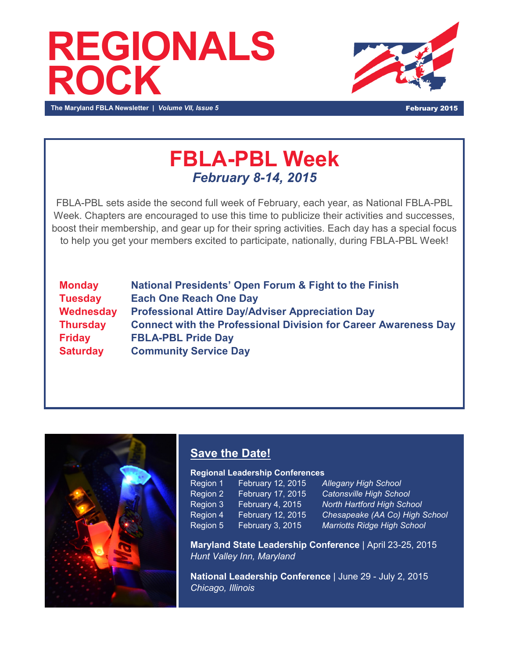# **REGIONALS ROCK**



**The Maryland FBLA Newsletter |** *Volume VII, Issue 5* **February 2015 <b>February 2015** 

### **FBLA-PBL Week** *February 8-14, 2015*

FBLA-PBL sets aside the second full week of February, each year, as National FBLA-PBL Week. Chapters are encouraged to use this time to publicize their activities and successes, boost their membership, and gear up for their spring activities. Each day has a special focus to help you get your members excited to participate, nationally, during FBLA-PBL Week!

**Monday National Presidents' Open Forum & Fight to the Finish Tuesday Each One Reach One Day Wednesday Professional Attire Day/Adviser Appreciation Day Thursday Connect with the Professional Division for Career Awareness Day Friday FBLA-PBL Pride Day Saturday Community Service Day** 



### **Save the Date!**

#### **Regional Leadership Conferences**

| Region 1 | February 12, 2015 |
|----------|-------------------|
| Region 2 | February 17, 2015 |
| Region 3 | February 4, 2015  |
| Region 4 | February 12, 2015 |
| Region 5 | February 3, 2015  |

**Allegany High School Catonsville High School North Hartford High School Chesapeake (AA Co) High School Marriotts Ridge High School** 

**Maryland State Leadership Conference** | April 23-25, 2015 *Hunt Valley Inn, Maryland*

**National Leadership Conference** | June 29 - July 2, 2015 *Chicago, Illinois*